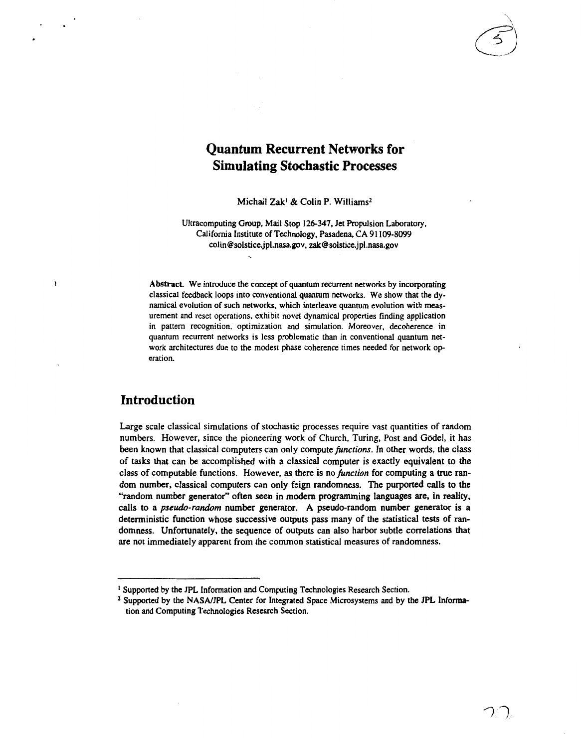# **Quantum Recurrent Networks for Simulating Stochastic Processes**

Michail *Zak'* & Colin P. Williams\*

Ultracomputing Group, Mail Stop **126-347,** Jet Propulsion Laboratory. California Institute of Technology. Pasadena, CA **91** 109-8099 **[colin@solstice.jpl.naa.gov](mailto:colin@solstice.jpl.naa.gov)[, zak@solstice.jpl.nasa.gov](mailto:zak@solstice.jpl.nasa.gov)** 

**Abstract.** We introduce the concept **of** quantum recurrent networks by incorporating classical feedback loops into conventional quantum networks. We show that the dynamical evolution of such networks, which interleave quantum evolution with measurement and reset operations, exhibit novel dynamical properties finding application in pattern recognition, optimization and simulation. Moreover, decoherence in quantum recurrent networks is less problematic than in conventional quantum network architectures due to the modest phase coherence times needed for network operation.

## **Introduction**

÷,

Large scale classical simulations of stochastic processes require vast quantities **of** random numbers. However, since the pioneering work of Church, Turing, Post and Gödel, it has been known that classical computers can only compute functions. In other words, the class of tasks that can be accomplished with **a** classical computer is exactly equivalent to the class of computable functions. However, as there is no *function* for computing a true random number, classical computers can only feign randomness. The purported calls to the "random number generator" often seen in modem programming languages are, in reality, calls to a *pseudo-random* number generator. **A** pseudo-random number generator is a deterministic function whose successive outputs pass many **of** the statistical tests of randomness. Unfortunately, the sequence **of** outputs can also harbor subtle correlations that are not immediately apparent from the common statistical measures of randomness.

<sup>&</sup>lt;sup>1</sup> Supported by the JPL Information and Computing Technologies Research Section.

Supported by the NASNJPL Center **for** Integrated Space Microsystems and by the *JPL* Informa-

tion and Computing Technologies Research Section.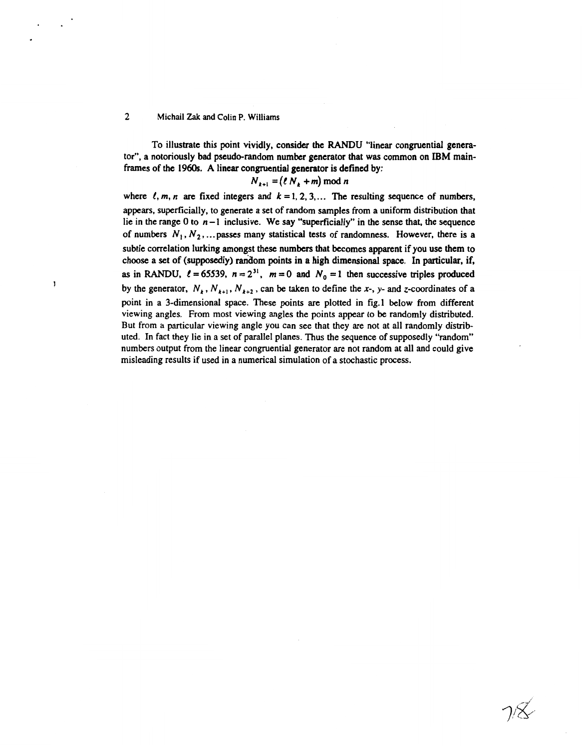$\mathbf{I}$ 

**To illustrate this point vividly, consider the RANDU "linear congruential generator", a notoriously bad pseudo-random number generator that was common on IBM mainframes of the 1960s. A linear congruential generator is defined by:** 

$$
N_{k+1} = (\ell N_k + m) \bmod n
$$

where  $\ell, m, n$  are fixed integers and  $k = 1, 2, 3, \ldots$  The resulting sequence of numbers, **appears, superficially, to generate a set of random samples from a uniform distribution that**  lie in the range 0 to  $n-1$  inclusive. We say "superficially" in the sense that, the sequence of numbers  $N_1, N_2, \ldots$  passes many statistical tests of randomness. However, there is a **subtle correlation lurking amongst these numbers that becomes apparent if you use them to choose a set of (supposedly) random points in a high dimensional space. In particular, if,**  as in RANDU,  $\ell = 65539$ ,  $n = 2^{31}$ ,  $m = 0$  and  $N_0 = 1$  then successive triples produced by the generator,  $N_k$ ,  $N_{k+1}$ ,  $N_{k+2}$ , can be taken to define the *x*-, *y*- and *z*-coordinates of a **point in a 3-dimensional space. These points are plotted in fig.1 below from different viewing angles. From most viewing angles the points appear to be randomly distributed. But from a particular viewing angle you can see that they are not at all randomly distributed. In fact they lie in a set of parallel planes. Thus the sequence of supposedly "random" numbers output from the linear congruential generator are not random at all and could give misleading results if used in a numerical simulation of a stochastic process.** 

 $\gamma\!\!\!\!\!\!\times$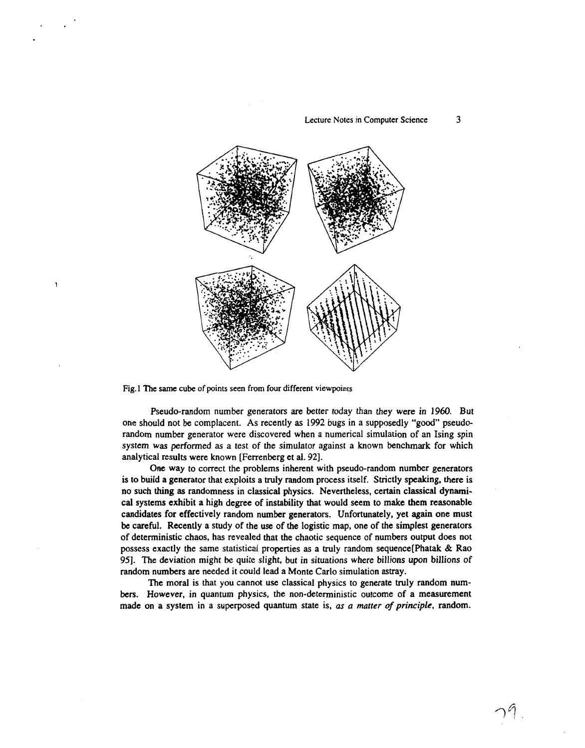

**Fig. 1** The same cube **of** points seen **from** four different viewpoints

ı

Pseudo-random number generators are better today than they were in **1960.** But one should not be complacent. **As** recently **as 1992** bugs in a supposedly "good" pseudorandom number generator were discovered when a numerical simulation of an Ising spin system was performed as a test of the simulator against a known benchmark for which analytical results were known [Ferrenberg et ai. **921.** 

One way **to** correct the problems inherent with pseudo-random number generators **is** to build a generator that exploits a truly random process itself. Strictly speaking, there is no such thing **as** randomness in classical physics. Nevertheless, certain classical dynamical systems exhibit a high degree of instability that would seem to make them reasonable candidates for effectively random number generators. Unfortunately, yet again one must be careful. Recently a study of the use **of** the logistic map, one of the simplest generators of deterministic chaos, has revealed that the chaotic sequence of numbers output does not possess exactly the same statistical properties **as** a truly random sequence[Phatak & Rao **951. The** deviation might be quite slight, **but** in situations where billions upon billions **of**  random numbers are needed it could lead a Monte Carlo simulation astray.

The moral is that you cannot use classical physics to generate truly random num**bers.** However, in quantum physics, the non-deterministic outcome of a measurement made on a system in a superposed quantum state is, *as a matter of principle*, random.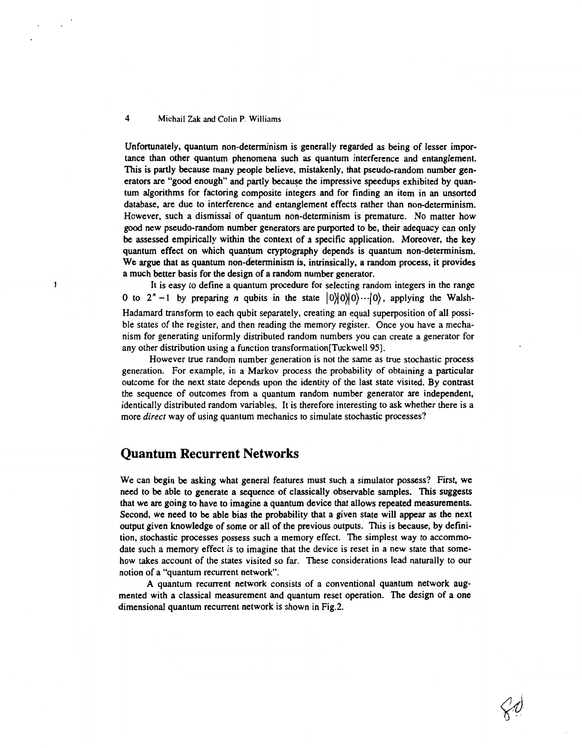$\mathbf{I}$ 

Unfortunately, quantum non-determinism is generally regarded as being of lesser importance than other quantum phenomena such as quantum interference and entanglement. This is partly because many people believe, mistakenly, that pseudo-random number generators are "good enough" and partly because the impressive speedups exhibited by quantum algorithms for factoring composite integers and for finding an item in an unsorted database, are due **to** interference and entanglement effects rather than non-determinism. However, such a dismissal of quantum non-determinism is premature. No matter how good new pseudo-random number generators are purported **to** be, their adequacy can only be assessed empirically within the context of a specific application. Moreover, the key quantum effect on which quantum cryptography depends is quantum non-determinism. We argue that as quantum non-determinism is, intrinsically, a random process, it provides a much better basis **for** the design of a random number generator.

**It** is easy to define a quantum procedure for selecting random integers in the range *0* to  $2^{n} - 1$  by preparing *n* qubits in the state  $|0\rangle|0\rangle|0\rangle...|0\rangle$ , applying the Walsh-Hadamard transform to each qubit separately, creating an equal superposition of all possible states of the register, and then reading the memory register. Once you have a mechanism for generating uniformly distributed random numbers you can create a generator for any other distribution using a function **transformation[Tuckwell95].** 

However true random number generation is not the same as true stochastic process generation. For example, in a Markov process the probability of obtaining a particular outcome for the next state depends upon the identity of the **last** state visited. By contrast the sequence of outcomes from a quantum random number generator are independent, identically distributed random variables. **It** is therefore interesting **to** ask whether there is a more *direct* way of using quantum mechanics **to** simulate stochastic processes?

### **Quantum Recurrent Networks**

We can begin be asking what general features must such a simulator possess? First, we need **to** be able **to** generate a sequence of classically observable samples. **This** suggests that we are going **to** have **to** imagine a quantum device that allows repeated measurements. Second, we need **to** be able bias the probability that a given state will appear as the next output given knowledge of some or all of the previous outputs. This is because, by definition, stochastic processes possess such a memory effect. The simplest way **to** accommodate such a memory effect is to imagine that the device is reset in a new state that somehow takes account of the states visited so far. These considerations lead naturally **to** our notion of a "quantum recurrent network".

**A** quantum recurrent network consists of a conventional quantum network augmented with a classical measurement and quantum reset operation. The design of a one dimensional quantum recurrent network is shown in Fig.2.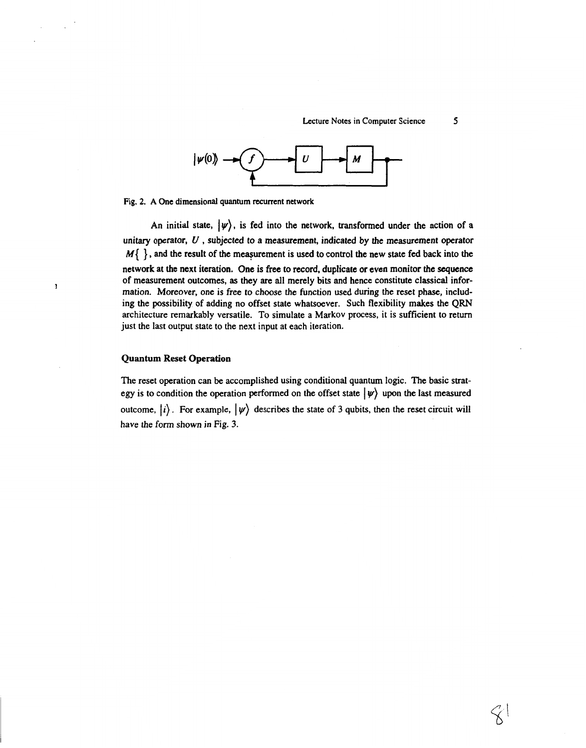*s!* 



**Fig. 2. A One dimensional quantum recurrent network** 

An initial state,  $|\psi\rangle$ , is fed into the network, transformed under the action of a **unitary operator,** *U* , **subjected to a measurement, indicated by the measurement operator**   $M\{\}\}\$ , and the result of the measurement is used to control the new state fed back into the **network at the next iteration. One is free to record, duplicate or even monitor the sequence of measurement outcomes,** as **they are all merely bits and hence constitute classical information. Moreover, one is free to choose the function used during the reset phase, including the possibility of adding no offset state whatsoever. Such flexibility makes the QRN architecture remarkably versatile. To simulate a Markov process, it is sufficient to return just the last output state to the next input at each iteration.** 

#### **Quantum Reset Operation**

ı

The **reset operation can** be **accomplished using conditional quantum logic. The basic strat**egy is to condition the operation performed on the offset state  $|\psi\rangle$  upon the last measured outcome,  $|i\rangle$ . For example,  $|\psi\rangle$  describes the state of 3 qubits, then the reset circuit will **have the** form **shown in Fig. 3.**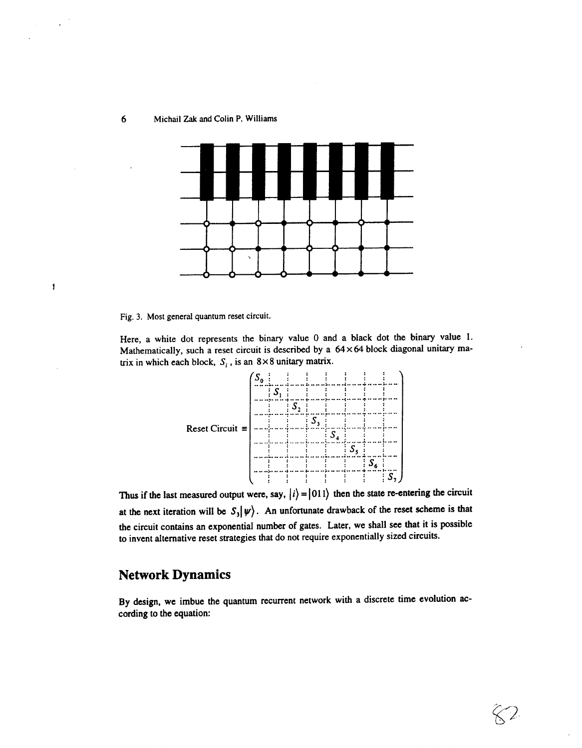**6 Michail Zak and Colin P. Williams** 



**Fig. 3. Most general quantum reset circuit.** 

**Here, a white dot represents the binary value** *0* **and a black dot the binary value 1.**  Mathematically, such a reset circuit is described by a  $64 \times 64$  block diagonal unitary matrix in which each block,  $S_i$ , is an  $8 \times 8$  unitary matrix.



Thus if the last measured output were, say,  $|i\rangle = |011\rangle$  then the state re-entering the circuit at the next iteration will be  $S_3|\psi\rangle$ . An unfortunate drawback of the reset scheme is that **the circuit contains** an **exponential number of gates. Later, we shall see that it is possible to invent alternative reset strategies that do not require exponentially sized circuits.** 

# **Network Dynamics**

**By design, we imbue the quantum recurrent network with a discrete time evolution according to the equation:** 

 $\mathbf{r}$ 

j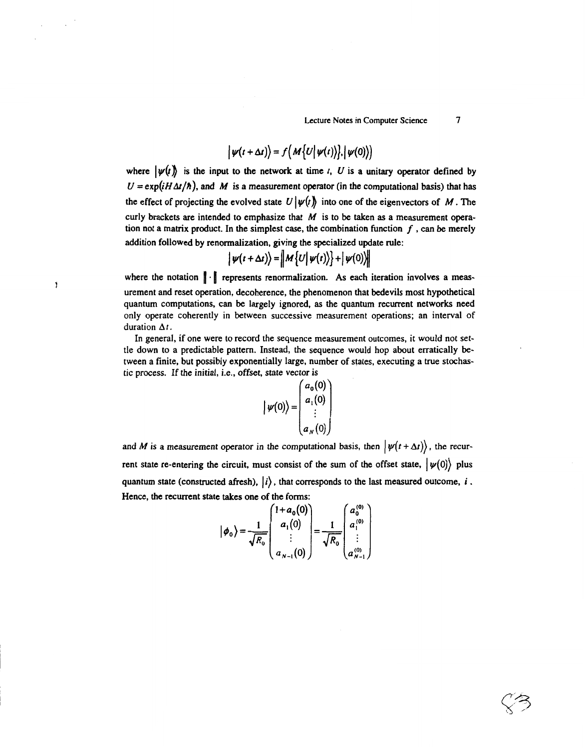$$
\big|\psi(t+\Delta t)\big>=f\big(M\big\{U\big|\psi(t)\big\},\big|\psi(0)\big\rangle\big)
$$

where  $|\psi(t)\rangle$  is the input to the network at time *t*, *U* is a unitary operator defined by  $U = \exp(iH\Delta t/\hbar)$ , and *M* is a measurement operator (in the computational basis) that has the effect of projecting the evolved state  $U|\psi(t)\rangle$  into one of the eigenvectors of M. The **curly brackets are intended to emphasize that** *M* **is to be taken as a measurement operation not a matrix product. In the simplest case, the combination function** *f* , **can be merely addition followed by renormalization, giving the specialized update rule:** 

$$
\left| \psi(t + \Delta t) \right\rangle = \left| M \left\{ U \middle| \psi(t) \right\rangle \right\} + \left| \psi(0) \right\rangle
$$

where the notation  $\|\cdot\|$  represents renormalization. As each iteration involves a meas**urement and reset operation, decoherence, the phenomenon that bedevils most hypothetical quantum computations, can** be **largely ignored,** as **the quantum recurrent networks need only operate coherently in between successive measurement operations; an interval of duration** *At.* 

1

**In general, if one were to record the sequence measurement outcomes, it would not settle down to a predictable pattern. Instead, the sequence would hop about erratically between a finite, but possibly exponentially large, number of states, executing a true stochastic process. If the initial, i.e., offset, state vector is** 

$$
\left| \psi(0) \right\rangle = \begin{pmatrix} a_0(0) \\ a_1(0) \\ \vdots \\ a_N(0) \end{pmatrix}
$$

and *M* is a measurement operator in the computational basis, then  $|\psi(t + \Delta t)\rangle$ , the recurrent state re-entering the circuit, must consist of the sum of the offset state,  $|\psi(0)\rangle$  plus quantum state (constructed afresh),  $|i\rangle$ , that corresponds to the last measured outcome,  $i$ . **Hence, the recurrent state takes one of the forms:** 

$$
|\phi_0\rangle = \frac{1}{\sqrt{R_0}} \begin{pmatrix} 1 + a_0(0) \\ a_1(0) \\ \vdots \\ a_{N-1}(0) \end{pmatrix} = \frac{1}{\sqrt{R_0}} \begin{pmatrix} a_0^{(0)} \\ a_1^{(0)} \\ \vdots \\ a_{N-1}^{(0)} \end{pmatrix}
$$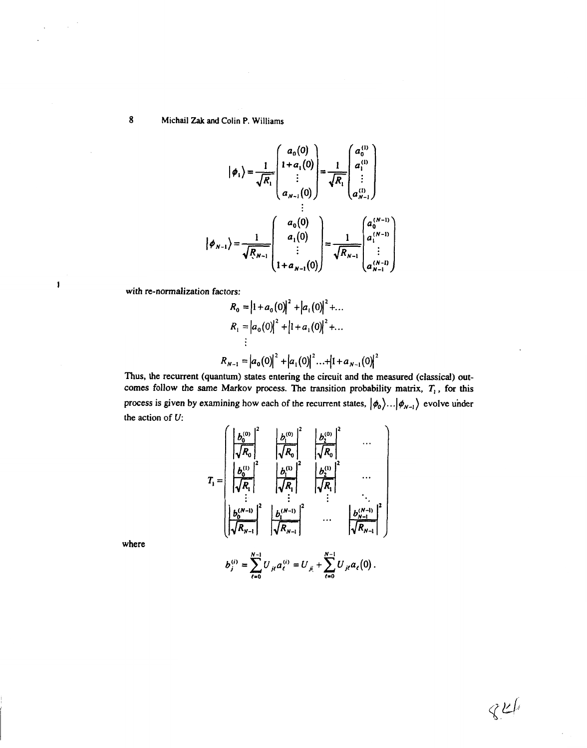$$
|\phi_{1}\rangle = \frac{1}{\sqrt{R_{1}}} \begin{pmatrix} a_{0}(0) \\ 1 + a_{1}(0) \\ \vdots \\ a_{N-1}(0) \end{pmatrix} = \frac{1}{\sqrt{R_{1}}} \begin{pmatrix} a_{0}^{(1)} \\ a_{1}^{(1)} \\ \vdots \\ a_{N-1}^{(N)} \end{pmatrix}
$$

$$
|\phi_{N-1}\rangle = \frac{1}{\sqrt{R_{N-1}}} \begin{pmatrix} a_{0}(0) \\ a_{1}(0) \\ \vdots \\ a_{N-1}(0) \end{pmatrix} = \frac{1}{\sqrt{R_{N-1}}} \begin{pmatrix} a_{0}^{(N-1)} \\ a_{1}^{(N-1)} \\ \vdots \\ a_{N-1}^{(N-1)} \end{pmatrix}
$$

**with re-normalization factors:** 

 $\mathbf{I}$ 

$$
R_0 = |1 + a_0(0)|^2 + |a_1(0)|^2 + ...
$$
  
\n
$$
R_1 = |a_0(0)|^2 + |1 + a_1(0)|^2 + ...
$$
  
\n
$$
\vdots
$$
  
\n
$$
R_{N-1} = |a_0(0)|^2 + |a_1(0)|^2 ... + |1 + a_{N-1}(0)|^2
$$

**Thus, the recurrent (quantum) states entering the circuit and the measured (classical) out**comes follow the same Markov process. The transition probability matrix,  $T<sub>1</sub>$ , for this process is given by examining how each of the recurrent states,  $|\phi_0\rangle...|\phi_{N-1}\rangle$  evolve under **the action of** *U:* 

$$
T_{1} = \begin{pmatrix} \left|\frac{b_{0}^{(0)}}{\sqrt{R_{0}}}\right|^{2} & \left|\frac{b_{1}^{(0)}}{\sqrt{R_{0}}}\right|^{2} & \left|\frac{b_{2}^{(0)}}{\sqrt{R_{0}}}\right|^{2} & \cdots \\ \left|\frac{b_{0}^{(1)}}{\sqrt{R_{1}}}\right|^{2} & \left|\frac{b_{1}^{(1)}}{\sqrt{R_{1}}}\right|^{2} & \left|\frac{b_{2}^{(1)}}{\sqrt{R_{1}}}\right|^{2} & \cdots \\ \vdots & \vdots & \vdots & \ddots \\ \left|\frac{b_{0}^{(N-1)}}{\sqrt{R_{N-1}}}\right|^{2} & \left|\frac{b_{1}^{(N-1)}}{\sqrt{R_{N-1}}}\right|^{2} & \cdots & \left|\frac{b_{N-1}^{(N-1)}}{\sqrt{R_{N-1}}}\right|^{2} \end{pmatrix}
$$

**where** 

$$
b_j^{(i)} = \sum_{\ell=0}^{N-1} U_{j\ell} a_\ell^{(i)} = U_{ji} + \sum_{\ell=0}^{N-1} U_{j\ell} a_\ell(0) .
$$

 $84$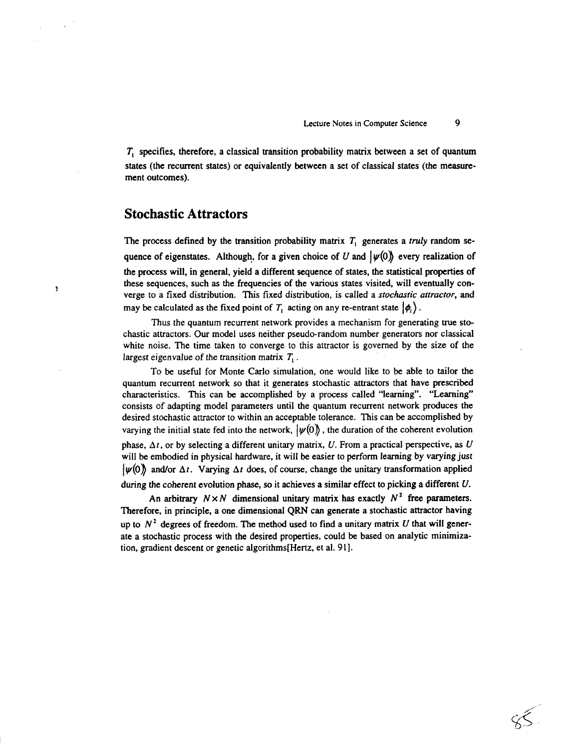**7',** specifies, therefore, a classical transition probability matrix between a set of quantum states (the recurrent states) **or** equivalentiy between a set of classical states (the measurement outcomes).

### **Stochastic Attractors**

**1** 

The process defined by the transition probability matrix  $T_1$  generates a *truly* random sequence of eigenstates. Although, for a given choice of *U* and  $|\psi(0)\rangle$  every realization of the process will, in general, yield a different sequence of states, the statistical properties **of**  these sequences, such as the frequencies of the various states visited, will eventually converge to a fixed distribution. **This** fixed distribution, is called a *stochastic utfructor,* and may be calculated as the fixed point of  $T_i$  acting on any re-entrant state  $|\phi_i\rangle$ .

**Thus** the quantum recurrent network provides a mechanism for generating true stochastic attractors. Our model uses neither pseudo-random number generators nor classical white noise. The time taken to converge to this attractor is governed by the size of the largest eigenvalue of the transition matrix  $T<sub>i</sub>$ .

To be useful for Monte Carlo simulation, one would like to be able to **tailor** the quantum recurrent network *so* that it generates stochastic attractors that have prescribed characteristics. This can be accomplished by a process called "learning". "Learning" consists of adapting model parameters until the quantum recurrent network produces the desired stochastic attractor **to** within **an** acceptable tolerance. This can be accomplished by varying the initial state fed into the network,  $|\psi(0)\rangle$ , the duration of the coherent evolution phase,  $\Delta t$ , or by selecting a different unitary matrix, U. From a practical perspective, as U will be embodied in physical hardware, it will be easier to perform learning by varying just  $|\psi(0)\rangle$  and/or  $\Delta t$ . Varying  $\Delta t$  does, of course, change the unitary transformation applied

during the coherent evolution phase, *so* it achieves a similar effect to picking a different *U.* 

An arbitrary  $N \times N$  dimensional unitary matrix has exactly  $N^2$  free parameters. Therefore, in principle, a one dimensional QRN can generate a stochastic attractor having up to  $N^2$  degrees of freedom. The method used to find a unitary matrix U that will generate a stochastic process with the desired properties, could be based on analytic minimization, gradient descent or genetic algorithms[Hertz, et al. **91** I.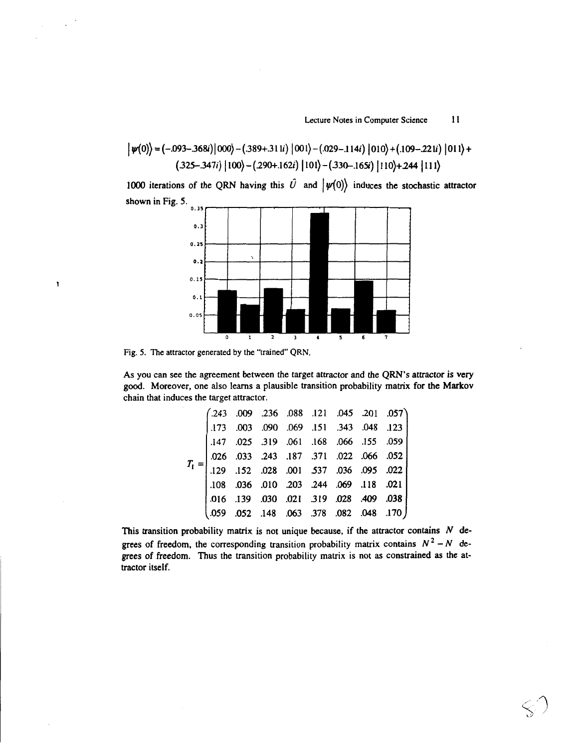$$
|\psi(0)\rangle = (-.093 - .368i)|000\rangle - (.389 + .311i) |001\rangle - (.029 - .114i) |010\rangle + (.109 - .221i) |011\rangle + (.325 - .347i) |100\rangle - (.290 + .162i) |101\rangle - (.330 - .165i) |110\rangle + .244 |111\rangle
$$

1000 iterations of the QRN having this  $\hat{U}$  and  $|\psi(0)\rangle$  induces the stochastic attractor shown in Fig. 5.  $_{0.35}$ 



**Fig. 5. The attractor generated by the "trained"** QRN.

**1** 

**As you** can **see the agreement between the target attractor and the QRN's attractor is very good. Moreover, one also learns a plausible transition probability matrix for the Markov chain that induces the target attractor.** 

| $=\begin{bmatrix} .243 & .009 & .236 & .088 & .121 & .045 & .201 & .057 \\ .173 & .003 & .090 & .069 & .151 & .343 & .048 & .123 \\ .147 & .025 & .319 & .061 & .168 & .066 & .155 & .059 \\ .026 & .033 & .243 & .187 & .371 & .022 & .066 & .052 \\ .129 & .152 & .028 & .001 & 537 & .036 & .095 & .022 \\ .108 & .036 & .010$ |  |  |  |                                                  |
|-----------------------------------------------------------------------------------------------------------------------------------------------------------------------------------------------------------------------------------------------------------------------------------------------------------------------------------|--|--|--|--------------------------------------------------|
|                                                                                                                                                                                                                                                                                                                                   |  |  |  |                                                  |
|                                                                                                                                                                                                                                                                                                                                   |  |  |  |                                                  |
|                                                                                                                                                                                                                                                                                                                                   |  |  |  |                                                  |
|                                                                                                                                                                                                                                                                                                                                   |  |  |  |                                                  |
|                                                                                                                                                                                                                                                                                                                                   |  |  |  |                                                  |
|                                                                                                                                                                                                                                                                                                                                   |  |  |  | $.052$ $.148$ $.063$ $.378$ $.082$ $.048$ $.170$ |

**This transition probability matrix is not unique because, if the attractor contains** *N* **de**grees of freedom, the corresponding transition probability matrix contains  $N^2 - N$  degrees of freedom. Thus the transition probability matrix is not as constrained as the at**tractor itself.**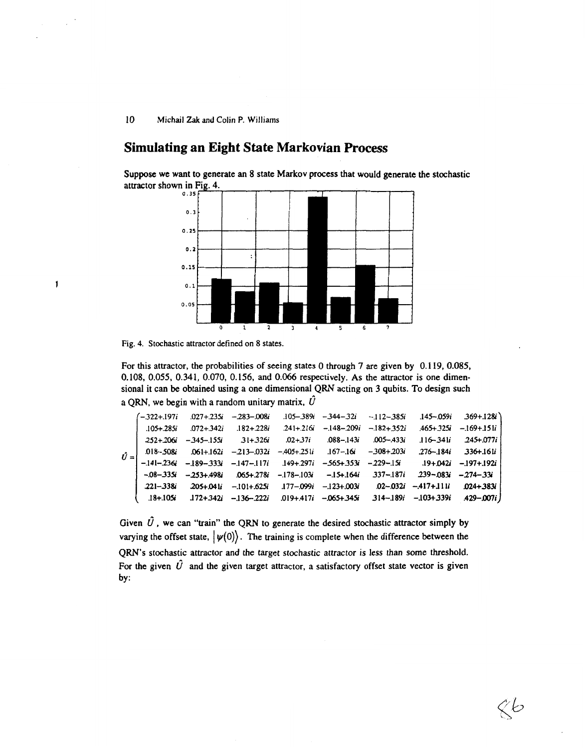# **Simulating an Eight State Markovian Process**

Suppose we want to generate **an 8** state Markov process that would generate the stochastic attractor shown in Fig. 4.



**Fig. 4.** Stochastic attractor **defined** on **8** states.

J

For this attractor, the probabilities of seeing states 0 through 7 are given by 0.119, 0.085, 0.108, 0.055, **0.341,** *0.070,* 0.156. and 0.066 respectively. **As** the attractor is one dimensional it can be obtained using a one dimensional QRN acting on **3** qubits. **To** design such a QRN, we begin with a random unitary matrix,  $\hat{U}$ 

| $\hat{U} =$ | -322+.197 <i>i</i> |                                       | $.027 + .235i - .283 - .008i$                                                           |                    |              |                     |                                                                            | $.105-389i -344-32i -112-385i$ $.145-059i$ $.369+128i$ |
|-------------|--------------------|---------------------------------------|-----------------------------------------------------------------------------------------|--------------------|--------------|---------------------|----------------------------------------------------------------------------|--------------------------------------------------------|
|             | .105+.285i         | .072+.342i                            | $.182 + .228i$                                                                          |                    |              |                     | $.241 + .216i - .148 - .209i - .182 + .352i - .465 + .325i - .169 + .151i$ |                                                        |
|             |                    | $252 + 206i - 345 - 155i$ $31 + 326i$ |                                                                                         | $.02 + .37i$       | $088 - 143i$ | .005--.433 <i>i</i> | $.116 - 341i$                                                              | 245+.077i                                              |
|             |                    |                                       | $.018 - 508i$ $.061 + .162i$ $-213 - .032i$ $-405 + .251i$ $.167 - .16i$ $-308 + .203i$ |                    |              |                     |                                                                            | .276–.184 <i>i</i> 336+.161 <i>i</i>                   |
|             |                    |                                       | $-141-236i -189-333i -147-117i$ $149+297i -565+353i -229-15i$ $19+042i -197+192i$       |                    |              |                     |                                                                            |                                                        |
|             |                    |                                       | $-08-335i -253+498i$ $065+278i -178-103i -15+164i$                                      |                    |              | $337 - 187i$        | $239 - 083i - 274 - 33i$                                                   |                                                        |
|             | $-221 - 338i$      |                                       | $205 + 041i - 101 + 625i$                                                               | 177–099i –123+003i |              | 02–032 <i>i</i>     | –417+11 li                                                                 | .024+383i                                              |
|             | .18+.105i          |                                       | $.172 + .342i$ $-.136 - .222i$ $.019 + .417i$ $-.065 + .345i$                           |                    |              |                     | $314 - 189i - 103 + 339i$                                                  | .429–.007i J                                           |

Given  $\hat{U}$ , we can "train" the QRN to generate the desired stochastic attractor simply by varying the offset state,  $|\psi(0)\rangle$ . The training is complete when the difference between the **QRN's** stochastic attractor and the target stochastic attractor is less than some threshold. For the given  $\hat{U}$  and the given target attractor, a satisfactory offset state vector is given by:

ζω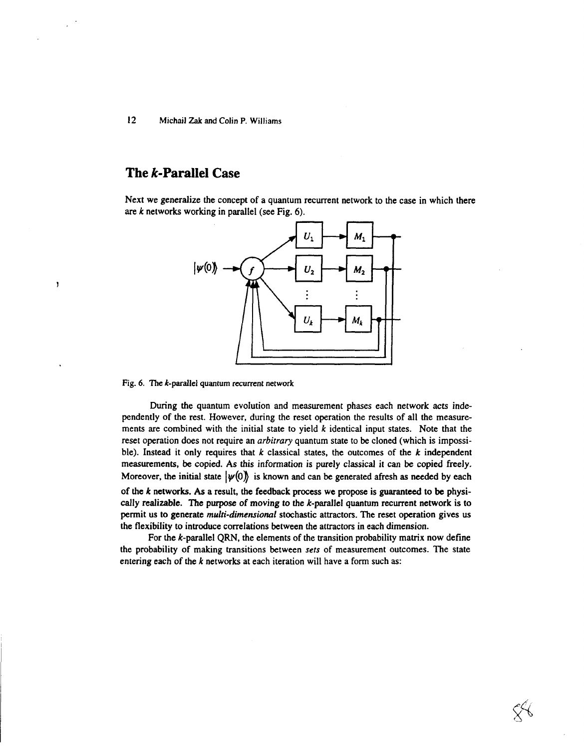# **The k-Parallel Case**

ï

**Next we generalize the concept of a quantum recurrent network** to **the case in which there are k networks working in parallel (see Fig. 6).** 



**Fig. 6. The k-parallel quantum recurrent network** 

During the quantum evolution and measurement phases each network acts inde**pendently of the rest. However, during the reset operation the results of all the measurements are combined with the initial state to yield** *k* **identical input states. Note that the**  reset operation does not require an *arbitrary* quantum state to be cloned (which is impossible). Instead it only requires that  $k$  classical states, the outcomes of the  $k$  independent **measurements, be copied. As this information is purely classical it can be copied freely.**  Moreover, the initial state  $|\psi(0)\rangle$  is known and can be generated afresh as needed by each **of the** *k* **networks. As a result, the feedback process we propose is guaranteed to be physi-**

**cally realizable. The purpose of moving to the k-parallel quantum recurrent network is to permit us to generate** *mulri-dimensional* **stochastic attractors. The reset operation gives us the flexibility to introduce correlations between the attractors in each dimension.** 

**For the k-parallel** QRN, **the elements of the transition probability matrix now define the probability of making transitions between** *sets* **of measurement outcomes. The state entering each of the k networks at each iteration will have a** form **such as:**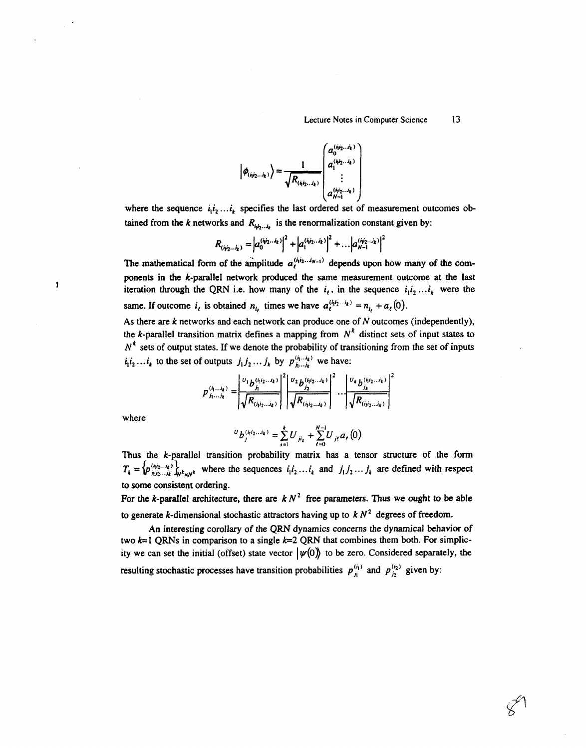$$
\left|\phi_{(i_1i_2...i_k)}\right\rangle = \frac{1}{\sqrt{R_{(i_1i_2...i_k)}}}\begin{pmatrix} a_0^{(i_1i_2...i_k)} \\ a_1^{(i_1i_2...i_k)} \\ \vdots \\ a_{N-1}^{(i_Ni_2...i_k)} \end{pmatrix}
$$

where the sequence  $i_1 i_2 \ldots i_k$  specifies the last ordered set of measurement outcomes obtained from the *k* networks and  $R_{i,j_1,i_k}$  is the renormalization constant given by:

$$
R_{(i_1i_2...i_k)} = |a_0^{(i_1i_2...i_k)}|^2 + |a_1^{(i_1i_2...i_k)}|^2 + ... |a_{N-1}^{(i_1i_2...i_k)}|^2
$$

The mathematical form of the amplitude  $a_1^{(i_1 i_2 \ldots i_{N-1})}$  depends upon how many of the com**ponents in the k-parallel network produced the same measurement outcome at the last iteration through the QRN i.e. how many of the**  $i_t$ **, in the sequence**  $i_1 i_2 \dots i_k$  **were the** same. If outcome  $i_t$  is obtained  $n_{i_t}$  times we have  $a_t^{(i_1 i_2 \ldots i_k)} = n_{i_t} + a_t(0)$ .

**As there are** *k* **networks and each network can produce one of** *N* **outcomes (independently),**  the k-parallel transition matrix defines a mapping from  $N^k$  distinct sets of input states to  $N<sup>k</sup>$  sets of output states. If we denote the probability of transitioning from the set of inputs  $i_1 i_2 \ldots i_k$  to the set of outputs  $j_1 j_2 \ldots j_k$  by  $p_{j_1 \ldots j_k}^{(i_1 \ldots i_k)}$  we have:

$$
p_{j_1...j_k}^{(i_1...i_k)} = \left|\frac{v_1 b_{j_1}^{(i_1 i_2...i_k)}}{\sqrt{R_{(i_1 i_2...i_k)}}}\right|^2 \left|\frac{v_2 b_{j_2}^{(i_1 i_2...i_k)}}{\sqrt{R_{(i_1 i_2...i_k)}}}\right|^2 \cdots \left|\frac{v_k b_{j_k}^{(i_1 i_2...i_k)}}{\sqrt{R_{(i_1 i_2...i_k)}}}\right|^2
$$

**where** 

**1** 

$$
U_{\dot{b}}_{j}^{(i_{1}i_{2}...i_{k})} = \sum_{s=1}^{k} U_{ji_{s}} + \sum_{\ell=0}^{N-1} U_{j\ell} a_{\ell}(0)
$$

**Thus the k-parallel transition probability matrix has a tensor structure of the form**   $T_k = \left\{ p_{j_1 j_2 \ldots j_k}^{(i_1 j_2 \ldots j_k)} \right\}_{k \leq x}$  where the sequences  $i_1 i_2 \ldots i_k$  and  $j_1 j_2 \ldots j_k$  are defined with respect **to some consistent ordering.** 

For the *k*-parallel architecture, there are  $k N^2$  free parameters. Thus we ought to be able to generate *k*-dimensional stochastic attractors having up to  $k N^2$  degrees of freedom.

**An interesting corollary of the** QRN **dynamics concerns the dynamical behavior of two k=l** QRNs **in comparison to a single** *k=2* QRN **that combines them both. For simplic**ity we can set the initial (offset) state vector  $|\psi(0)\rangle$  to be zero. Considered separately, the **resulting stochastic processes have transition probabilities**  $p_{j_1}^{(i_1)}$  **and**  $p_{j_2}^{(i_2)}$  **given by:**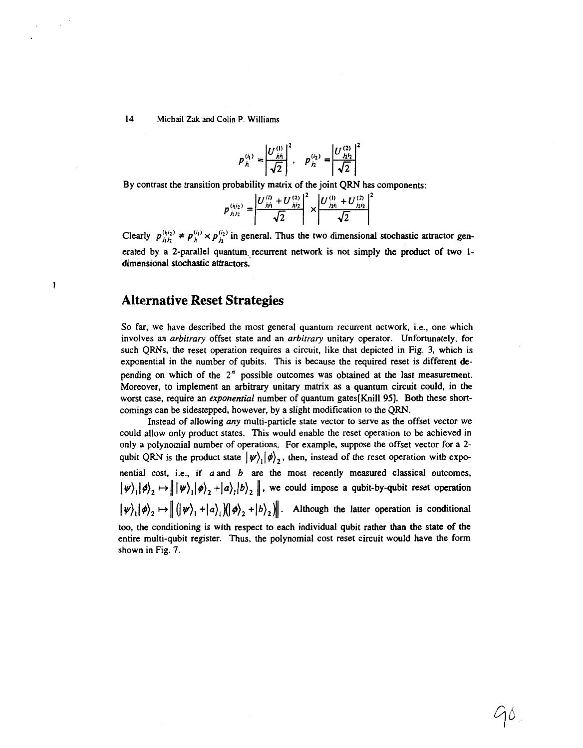$$
p_{j_1}^{(i_1)} = \left| \frac{U_{j_1 i_1}^{(1)}}{\sqrt{2}} \right|^2, \quad p_{j_2}^{(i_2)} = \left| \frac{U_{j_2 i_2}^{(2)}}{\sqrt{2}} \right|^2
$$

By contrast the transition probability matrix of the joint QRN has components:

$$
p_{j_1j_2}^{(i_1i_2)} = \left| \frac{U_{j_1j_1}^{(1)} + U_{j_1j_2}^{(2)}}{\sqrt{2}} \right|^2 \times \left| \frac{U_{j_2j_1}^{(1)} + U_{j_2j_2}^{(2)}}{\sqrt{2}} \right|^2
$$

Clearly  $p_{j_1j_2}^{(i_1i_2)} \neq p_{j_1}^{(i_1)} \times p_{j_2}^{(i_2)}$  in general. Thus the two dimensional stochastic attractor generated by a 2-parallel quantum. recurrent network is not simply the product **of** two **1**  dimensional stochastic attractors.

### **Alternative Reset Strategies**

Ĵ

*So* far, we have described the most general quantum recurrent network, i.e., one which involves an *arbitrary* offset state and an *arbitrary* unitary operator. Unfortunately, for such QRNs, the reset operation requires a circuit, like that depicted in Fig. **3,** which is exponential in the number of qubits. This is because the required reset is different depending on which of the *2"* possible outcomes was obtained at the last measurement. Moreover, to implement an arbitrary unitary matrix **as** a quantum circuit could, in the worst case, require an *exponential* number of quantum gates[Knill **951. Both** these shortcomings can be sidestepped, however, by a slight modification to the QRN.

Instead of allowing *any* multi-particle state vector to serve **as** the offset vector we could allow only product states. This would enable the reset operation to be achieved in only a polynomial number of operations. For example, suppose the offset vector for a **2**  qubit QRN is the product state  $|\psi\rangle_1 |\phi\rangle_2$ , then, instead of the reset operation with exponential cost, i.e., if *a* and *b* are the most recently measured classical outcomes,  $|\psi\rangle, |\phi\rangle, \mapsto | |\psi\rangle, |\phi\rangle, |a\rangle, |b\rangle, |$ , we could impose a qubit-by-qubit reset operation  $|\psi\rangle_1 |\phi\rangle_2 \mapsto |(|\psi\rangle_1 + |a\rangle_1)(|\phi\rangle_2 + |b\rangle_2)|.$  Although the latter operation is conditional too, the conditioning is with respect to each individual qubit rather than the state of the entire multi-qubit register. Thus, the polynomial cost reset circuit would have the form shown in [Fig.](#page-14-0) **7.**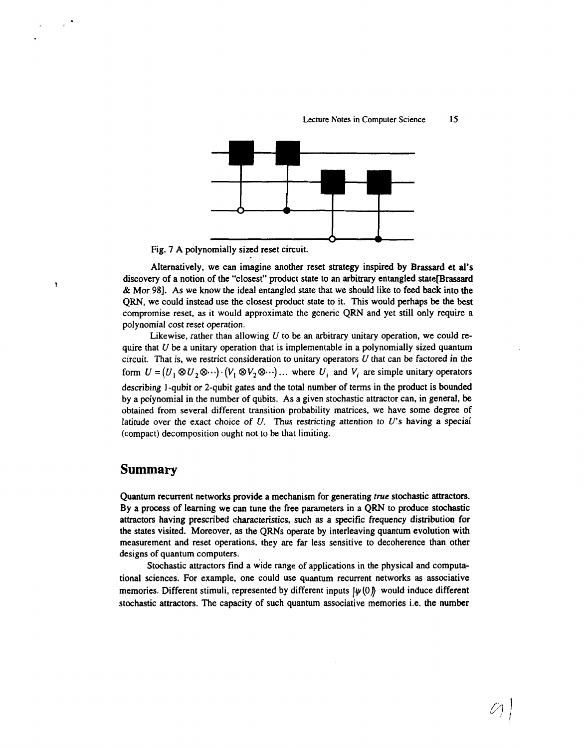<span id="page-14-0"></span>

**Fig. 7 A polynomially sized reset circuit.** 

**Alternatively, we can imagine another reset strategy inspired by Brassard et al's discovery of a notion of the "closest" product state to an arbitrary entangled state[Brassard**  & **Mor 981. As we know the ideal entangled state that we should like to feed back into the QRN, we could instead use the closest product state to it. This would perhaps be the best compromise reset, as it would approximate the generic** QRN **and yet still only require a polynomial cost reset operation.** 

**Likewise, rather than allowing** *U* **to** be **an arbitrary unitary operation, we could require that** *U* be **a unitary operation that is implementable in a polynomially sized quantum**  circuit. That is, we restrict consideration to unitary operators  $U$  that can be factored in the form  $U = (U_1 \otimes U_2 \otimes \cdots) \cdot (V_1 \otimes V_2 \otimes \cdots) \dots$  where  $U_i$  and  $V_i$  are simple unitary operators **describing I-qubit or 2-qubit gates and the total number of terms in the product is bounded by a polynomial in the number of qubits. As a given stochastic attractor can, in general, be obtained from several different transition probability matrices, we have some degree of latitude over the exact choice of** *U. Thus* **restricting attention to** *Us* **having a special (compact) decomposition ought not to** be **that limiting.** 

#### **Summary**

ĵ

**Quantum recurrent networks provide a mechanism for generating** *true* **stochastic attractors. By a process of learning we can tune the free parameters in a QRN to produce stochastic attractors having prescribed characteristics, such** as **a specific frequency distribution for the states visited. Moreover,** as **the QRNs operate by interleaving quantum evolution with measurement and reset operations, they are far less sensitive to decoherence than other designs of quantum computers.** 

**Stochastic attractors find a wide range of applications in the physical and computational sciences. For example, one could use quantum recurrent networks as associative memories. Different stimuli, represented by different inputs**  $|\psi(0)\rangle$  **would induce different stochastic attractors. The capacity of such quantum associative memories i.e. the number** 

M